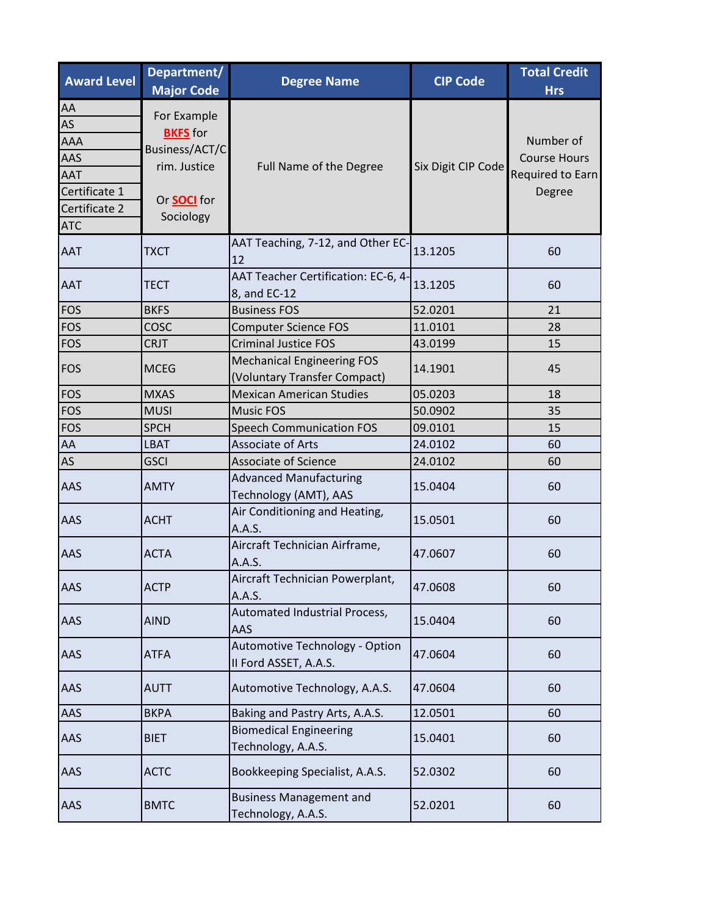| <b>Award Level</b> | Department/<br><b>Major Code</b> | <b>Degree Name</b>                                                | <b>CIP Code</b>    | <b>Total Credit</b><br><b>Hrs</b> |
|--------------------|----------------------------------|-------------------------------------------------------------------|--------------------|-----------------------------------|
| AA                 |                                  |                                                                   |                    |                                   |
| AS                 | For Example                      |                                                                   |                    |                                   |
| AAA                | <b>BKFS</b> for                  |                                                                   |                    | Number of                         |
| AAS                | Business/ACT/C                   |                                                                   |                    | <b>Course Hours</b>               |
| AAT                | rim. Justice                     | Full Name of the Degree                                           | Six Digit CIP Code | Required to Earn                  |
| Certificate 1      |                                  |                                                                   |                    | Degree                            |
| Certificate 2      | Or <b>SOCI</b> for               |                                                                   |                    |                                   |
| <b>ATC</b>         | Sociology                        |                                                                   |                    |                                   |
| <b>AAT</b>         | <b>TXCT</b>                      | AAT Teaching, 7-12, and Other EC-<br>12                           | 13.1205            | 60                                |
| <b>AAT</b>         | <b>TECT</b>                      | AAT Teacher Certification: EC-6, 4-<br>8, and EC-12               | 13.1205            | 60                                |
| <b>FOS</b>         | <b>BKFS</b>                      | <b>Business FOS</b>                                               | 52.0201            | 21                                |
| <b>FOS</b>         | COSC                             | <b>Computer Science FOS</b>                                       | 11.0101            | 28                                |
| <b>FOS</b>         | <b>CRJT</b>                      | <b>Criminal Justice FOS</b>                                       | 43.0199            | 15                                |
| <b>FOS</b>         | <b>MCEG</b>                      | <b>Mechanical Engineering FOS</b><br>(Voluntary Transfer Compact) | 14.1901            | 45                                |
| <b>FOS</b>         | <b>MXAS</b>                      | <b>Mexican American Studies</b>                                   | 05.0203            | 18                                |
| <b>FOS</b>         | <b>MUSI</b>                      | <b>Music FOS</b>                                                  | 50.0902            | 35                                |
| <b>FOS</b>         | <b>SPCH</b>                      | <b>Speech Communication FOS</b>                                   | 09.0101            | 15                                |
| AA                 | <b>LBAT</b>                      | <b>Associate of Arts</b>                                          | 24.0102            | 60                                |
| <b>AS</b>          | <b>GSCI</b>                      | <b>Associate of Science</b>                                       | 24.0102            | 60                                |
| AAS                | <b>AMTY</b>                      | <b>Advanced Manufacturing</b><br>Technology (AMT), AAS            | 15.0404            | 60                                |
| AAS                | <b>ACHT</b>                      | Air Conditioning and Heating,<br>A.A.S.                           | 15.0501            | 60                                |
| AAS                | <b>ACTA</b>                      | Aircraft Technician Airframe,<br>A.A.S.                           | 47.0607            | 60                                |
| AAS                | <b>ACTP</b>                      | Aircraft Technician Powerplant,<br>A.A.S.                         | 47.0608            | 60                                |
| AAS                | <b>AIND</b>                      | Automated Industrial Process,<br>AAS                              | 15.0404            | 60                                |
| AAS                | <b>ATFA</b>                      | Automotive Technology - Option<br>II Ford ASSET, A.A.S.           | 47.0604            | 60                                |
| AAS                | <b>AUTT</b>                      | Automotive Technology, A.A.S.                                     | 47.0604            | 60                                |
| AAS                | <b>BKPA</b>                      | Baking and Pastry Arts, A.A.S.                                    | 12.0501            | 60                                |
| AAS                | <b>BIET</b>                      | <b>Biomedical Engineering</b><br>Technology, A.A.S.               | 15.0401            | 60                                |
| AAS                | <b>ACTC</b>                      | Bookkeeping Specialist, A.A.S.                                    | 52.0302            | 60                                |
| AAS                | <b>BMTC</b>                      | <b>Business Management and</b><br>Technology, A.A.S.              | 52.0201            | 60                                |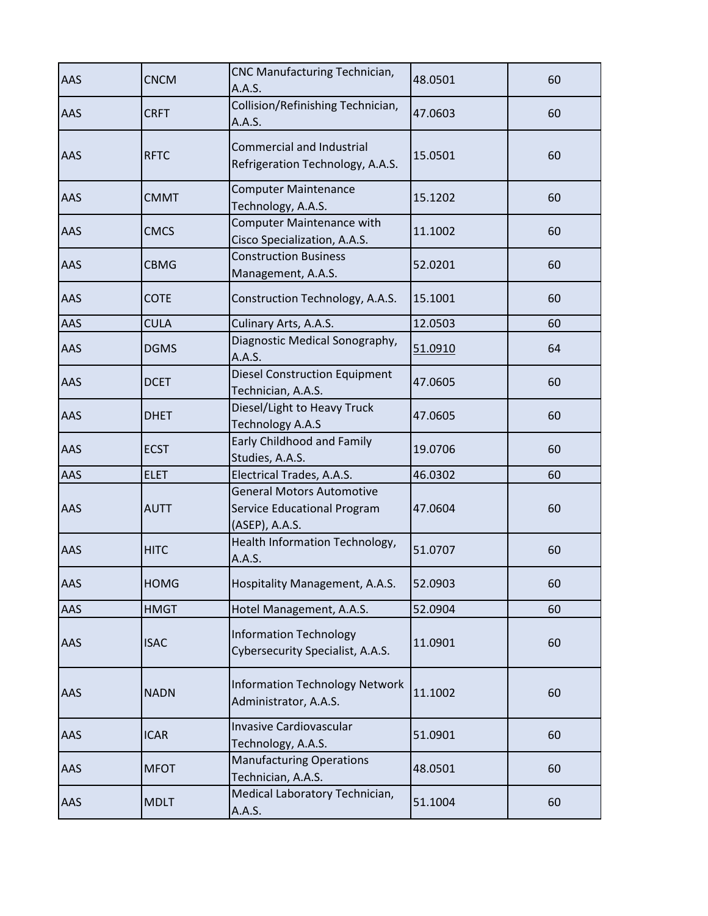| AAS        | <b>CNCM</b> | CNC Manufacturing Technician,<br>A.A.S.                                           | 48.0501 | 60 |
|------------|-------------|-----------------------------------------------------------------------------------|---------|----|
| <b>AAS</b> | <b>CRFT</b> | Collision/Refinishing Technician,<br>A.A.S.                                       | 47.0603 | 60 |
| AAS        | <b>RFTC</b> | <b>Commercial and Industrial</b><br>Refrigeration Technology, A.A.S.              | 15.0501 | 60 |
| AAS        | <b>CMMT</b> | <b>Computer Maintenance</b><br>Technology, A.A.S.                                 | 15.1202 | 60 |
| <b>AAS</b> | <b>CMCS</b> | Computer Maintenance with<br>Cisco Specialization, A.A.S.                         | 11.1002 | 60 |
| AAS        | <b>CBMG</b> | <b>Construction Business</b><br>Management, A.A.S.                                | 52.0201 | 60 |
| AAS        | <b>COTE</b> | Construction Technology, A.A.S.                                                   | 15.1001 | 60 |
| AAS        | <b>CULA</b> | Culinary Arts, A.A.S.                                                             | 12.0503 | 60 |
| AAS        | <b>DGMS</b> | Diagnostic Medical Sonography,<br>A.A.S.                                          | 51.0910 | 64 |
| AAS        | <b>DCET</b> | <b>Diesel Construction Equipment</b><br>Technician, A.A.S.                        | 47.0605 | 60 |
| AAS        | <b>DHET</b> | Diesel/Light to Heavy Truck<br>Technology A.A.S                                   | 47.0605 | 60 |
| AAS        | <b>ECST</b> | Early Childhood and Family<br>Studies, A.A.S.                                     | 19.0706 | 60 |
| AAS        | <b>ELET</b> | Electrical Trades, A.A.S.                                                         | 46.0302 | 60 |
| <b>AAS</b> | <b>AUTT</b> | <b>General Motors Automotive</b><br>Service Educational Program<br>(ASEP), A.A.S. | 47.0604 | 60 |
| AAS        | <b>HITC</b> | Health Information Technology,<br>A.A.S.                                          | 51.0707 | 60 |
| AAS        | HOMG        | Hospitality Management, A.A.S.                                                    | 52.0903 | 60 |
| AAS        | <b>HMGT</b> | Hotel Management, A.A.S.                                                          | 52.0904 | 60 |
| AAS        | <b>ISAC</b> | <b>Information Technology</b><br>Cybersecurity Specialist, A.A.S.                 | 11.0901 | 60 |
| AAS        | <b>NADN</b> | <b>Information Technology Network</b><br>Administrator, A.A.S.                    | 11.1002 | 60 |
| AAS        | <b>ICAR</b> | <b>Invasive Cardiovascular</b><br>Technology, A.A.S.                              | 51.0901 | 60 |
| AAS        | <b>MFOT</b> | <b>Manufacturing Operations</b><br>Technician, A.A.S.                             | 48.0501 | 60 |
| AAS        | <b>MDLT</b> | Medical Laboratory Technician,<br>A.A.S.                                          | 51.1004 | 60 |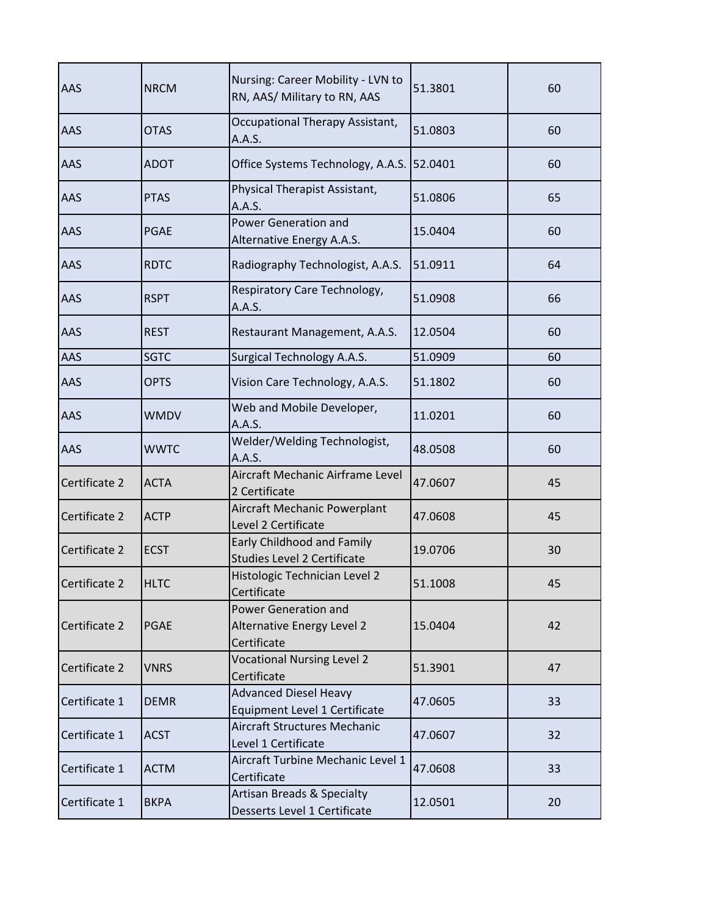| AAS           | <b>NRCM</b> | Nursing: Career Mobility - LVN to<br>RN, AAS/ Military to RN, AAS               | 51.3801 | 60 |
|---------------|-------------|---------------------------------------------------------------------------------|---------|----|
| AAS           | <b>OTAS</b> | Occupational Therapy Assistant,<br>A.A.S.                                       | 51.0803 | 60 |
| AAS           | <b>ADOT</b> | Office Systems Technology, A.A.S.                                               | 52.0401 | 60 |
| AAS           | <b>PTAS</b> | Physical Therapist Assistant,<br>A.A.S.                                         | 51.0806 | 65 |
| AAS           | <b>PGAE</b> | <b>Power Generation and</b><br>Alternative Energy A.A.S.                        | 15.0404 | 60 |
| AAS           | <b>RDTC</b> | Radiography Technologist, A.A.S.                                                | 51.0911 | 64 |
| AAS           | <b>RSPT</b> | Respiratory Care Technology,<br>A.A.S.                                          | 51.0908 | 66 |
| AAS           | <b>REST</b> | Restaurant Management, A.A.S.                                                   | 12.0504 | 60 |
| AAS           | <b>SGTC</b> | Surgical Technology A.A.S.                                                      | 51.0909 | 60 |
| AAS           | <b>OPTS</b> | Vision Care Technology, A.A.S.                                                  | 51.1802 | 60 |
| AAS           | <b>WMDV</b> | Web and Mobile Developer,<br>A.A.S.                                             | 11.0201 | 60 |
| AAS           | <b>WWTC</b> | Welder/Welding Technologist,<br>A.A.S.                                          | 48.0508 | 60 |
| Certificate 2 | <b>ACTA</b> | Aircraft Mechanic Airframe Level<br>2 Certificate                               | 47.0607 | 45 |
| Certificate 2 | <b>ACTP</b> | Aircraft Mechanic Powerplant<br>Level 2 Certificate                             | 47.0608 | 45 |
| Certificate 2 | <b>ECST</b> | Early Childhood and Family<br>Studies Level 2 Certificate                       | 19.0706 | 30 |
| Certificate 2 | <b>HLTC</b> | Histologic Technician Level 2<br>Certificate                                    | 51.1008 | 45 |
| Certificate 2 | <b>PGAE</b> | <b>Power Generation and</b><br><b>Alternative Energy Level 2</b><br>Certificate | 15.0404 | 42 |
| Certificate 2 | <b>VNRS</b> | <b>Vocational Nursing Level 2</b><br>Certificate                                | 51.3901 | 47 |
| Certificate 1 | <b>DEMR</b> | <b>Advanced Diesel Heavy</b><br>Equipment Level 1 Certificate                   | 47.0605 | 33 |
| Certificate 1 | <b>ACST</b> | Aircraft Structures Mechanic<br>Level 1 Certificate                             | 47.0607 | 32 |
| Certificate 1 | <b>ACTM</b> | Aircraft Turbine Mechanic Level 1<br>Certificate                                | 47.0608 | 33 |
| Certificate 1 | <b>BKPA</b> | <b>Artisan Breads &amp; Specialty</b><br>Desserts Level 1 Certificate           | 12.0501 | 20 |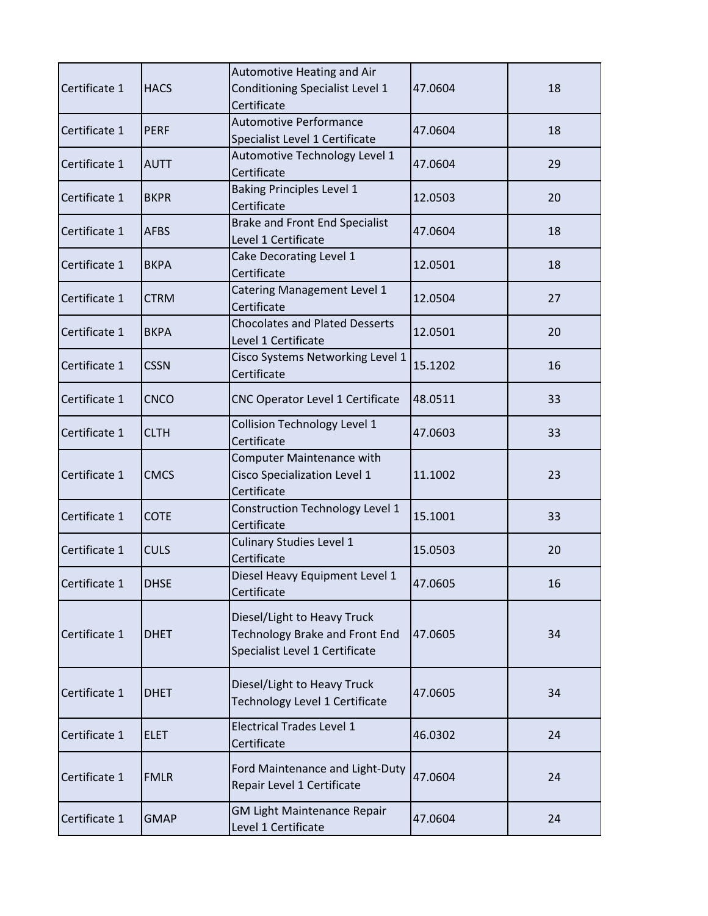| Certificate 1 | <b>HACS</b> | Automotive Heating and Air<br>Conditioning Specialist Level 1<br>Certificate                    | 47.0604 | 18 |
|---------------|-------------|-------------------------------------------------------------------------------------------------|---------|----|
| Certificate 1 | <b>PERF</b> | <b>Automotive Performance</b><br>Specialist Level 1 Certificate                                 | 47.0604 | 18 |
| Certificate 1 | <b>AUTT</b> | Automotive Technology Level 1<br>Certificate                                                    | 47.0604 | 29 |
| Certificate 1 | <b>BKPR</b> | <b>Baking Principles Level 1</b><br>Certificate                                                 | 12.0503 | 20 |
| Certificate 1 | <b>AFBS</b> | <b>Brake and Front End Specialist</b><br>Level 1 Certificate                                    | 47.0604 | 18 |
| Certificate 1 | <b>BKPA</b> | Cake Decorating Level 1<br>Certificate                                                          | 12.0501 | 18 |
| Certificate 1 | <b>CTRM</b> | Catering Management Level 1<br>Certificate                                                      | 12.0504 | 27 |
| Certificate 1 | <b>BKPA</b> | <b>Chocolates and Plated Desserts</b><br>Level 1 Certificate                                    | 12.0501 | 20 |
| Certificate 1 | <b>CSSN</b> | Cisco Systems Networking Level 1<br>Certificate                                                 | 15.1202 | 16 |
| Certificate 1 | <b>CNCO</b> | CNC Operator Level 1 Certificate                                                                | 48.0511 | 33 |
| Certificate 1 | <b>CLTH</b> | <b>Collision Technology Level 1</b><br>Certificate                                              | 47.0603 | 33 |
| Certificate 1 | <b>CMCS</b> | Computer Maintenance with<br><b>Cisco Specialization Level 1</b><br>Certificate                 | 11.1002 | 23 |
| Certificate 1 | <b>COTE</b> | Construction Technology Level 1<br>Certificate                                                  | 15.1001 | 33 |
| Certificate 1 | <b>CULS</b> | <b>Culinary Studies Level 1</b><br>Certificate                                                  | 15.0503 | 20 |
| Certificate 1 | <b>DHSE</b> | Diesel Heavy Equipment Level 1<br>Certificate                                                   | 47.0605 | 16 |
| Certificate 1 | <b>DHET</b> | Diesel/Light to Heavy Truck<br>Technology Brake and Front End<br>Specialist Level 1 Certificate | 47.0605 | 34 |
| Certificate 1 | <b>DHET</b> | Diesel/Light to Heavy Truck<br>Technology Level 1 Certificate                                   | 47.0605 | 34 |
| Certificate 1 | <b>ELET</b> | <b>Electrical Trades Level 1</b><br>Certificate                                                 | 46.0302 | 24 |
| Certificate 1 | <b>FMLR</b> | Ford Maintenance and Light-Duty<br>Repair Level 1 Certificate                                   | 47.0604 | 24 |
| Certificate 1 | <b>GMAP</b> | <b>GM Light Maintenance Repair</b><br>Level 1 Certificate                                       | 47.0604 | 24 |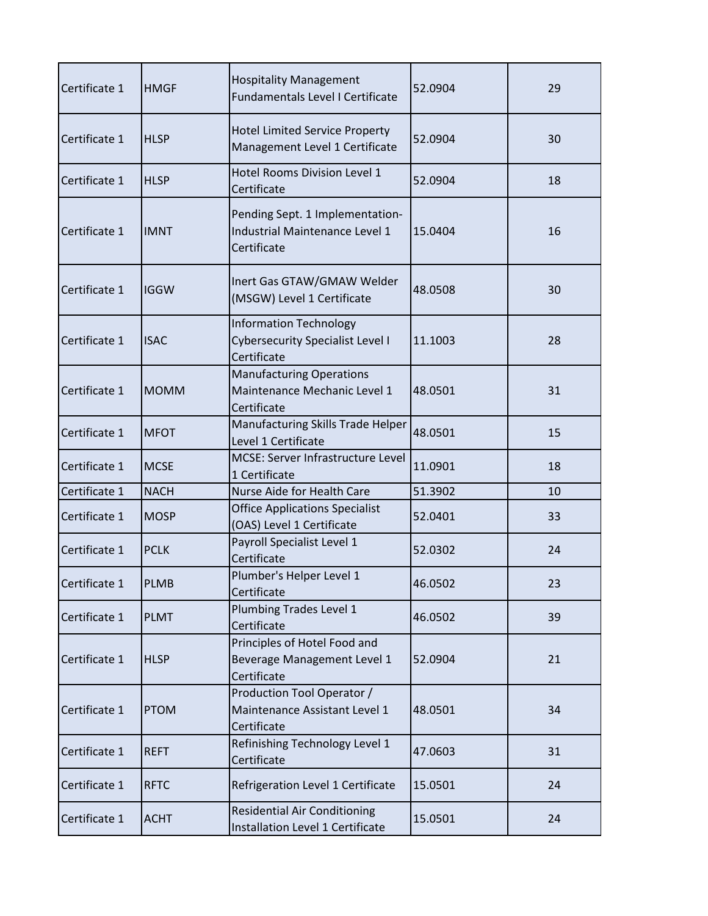| Certificate 1 | <b>HMGF</b> | <b>Hospitality Management</b><br><b>Fundamentals Level I Certificate</b>                | 52.0904 | 29 |
|---------------|-------------|-----------------------------------------------------------------------------------------|---------|----|
| Certificate 1 | <b>HLSP</b> | <b>Hotel Limited Service Property</b><br>Management Level 1 Certificate                 | 52.0904 | 30 |
| Certificate 1 | <b>HLSP</b> | Hotel Rooms Division Level 1<br>Certificate                                             | 52.0904 | 18 |
| Certificate 1 | <b>IMNT</b> | Pending Sept. 1 Implementation-<br>Industrial Maintenance Level 1<br>Certificate        | 15.0404 | 16 |
| Certificate 1 | <b>IGGW</b> | Inert Gas GTAW/GMAW Welder<br>(MSGW) Level 1 Certificate                                | 48.0508 | 30 |
| Certificate 1 | <b>ISAC</b> | <b>Information Technology</b><br><b>Cybersecurity Specialist Level I</b><br>Certificate | 11.1003 | 28 |
| Certificate 1 | <b>MOMM</b> | <b>Manufacturing Operations</b><br>Maintenance Mechanic Level 1<br>Certificate          | 48.0501 | 31 |
| Certificate 1 | <b>MFOT</b> | Manufacturing Skills Trade Helper<br>Level 1 Certificate                                | 48.0501 | 15 |
| Certificate 1 | <b>MCSE</b> | MCSE: Server Infrastructure Level<br>1 Certificate                                      | 11.0901 | 18 |
| Certificate 1 | <b>NACH</b> | Nurse Aide for Health Care                                                              | 51.3902 | 10 |
| Certificate 1 | <b>MOSP</b> | <b>Office Applications Specialist</b><br>(OAS) Level 1 Certificate                      | 52.0401 | 33 |
| Certificate 1 | <b>PCLK</b> | Payroll Specialist Level 1<br>Certificate                                               | 52.0302 | 24 |
| Certificate 1 | <b>PLMB</b> | Plumber's Helper Level 1<br>Certificate                                                 | 46.0502 | 23 |
| Certificate 1 | <b>PLMT</b> | Plumbing Trades Level 1<br>Certificate                                                  | 46.0502 | 39 |
| Certificate 1 | <b>HLSP</b> | Principles of Hotel Food and<br>Beverage Management Level 1<br>Certificate              | 52.0904 | 21 |
| Certificate 1 | <b>PTOM</b> | Production Tool Operator /<br>Maintenance Assistant Level 1<br>Certificate              | 48.0501 | 34 |
| Certificate 1 | <b>REFT</b> | Refinishing Technology Level 1<br>Certificate                                           | 47.0603 | 31 |
| Certificate 1 | <b>RFTC</b> | Refrigeration Level 1 Certificate                                                       | 15.0501 | 24 |
| Certificate 1 | <b>ACHT</b> | <b>Residential Air Conditioning</b><br>Installation Level 1 Certificate                 | 15.0501 | 24 |